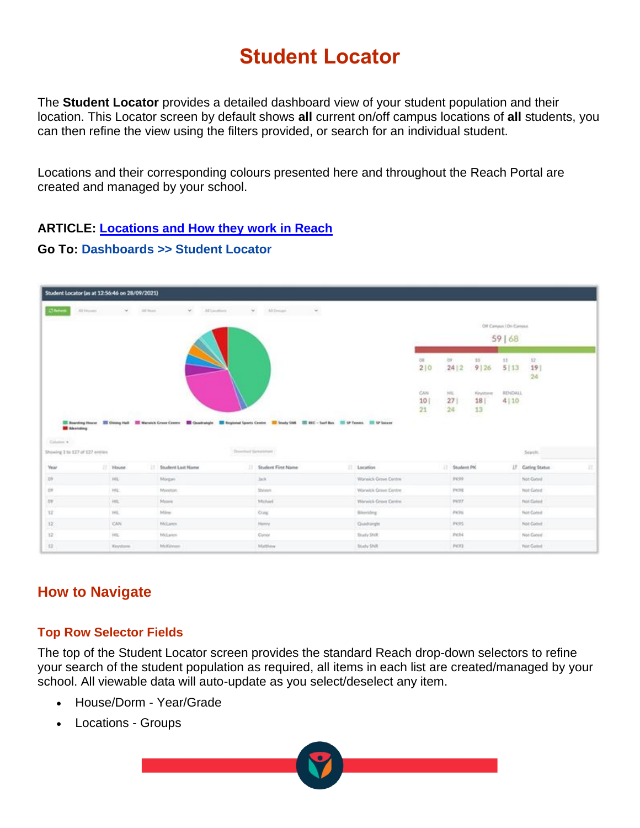# **Student Locator**

The **Student Locator** provides a detailed dashboard view of your student population and their location. This Locator screen by default shows **all** current on/off campus locations of **all** students, you can then refine the view using the filters provided, or search for an individual student.

Locations and their corresponding colours presented here and throughout the Reach Portal are created and managed by your school.

#### **ARTICLE: [Locations and How](https://desk.zoho.com/portal/touchlinereach/en/kb/articles/article-locations-and-how-they-work-in-reach) they work in Reach**

#### **Go To: Dashboards >> Student Locator**

|                                | Student Locator (as at 12:56:46 on 28/09/2021) |             |                      |               |                                                                                                                                                            |                         |                        |                      |                         |                           |                        |    |
|--------------------------------|------------------------------------------------|-------------|----------------------|---------------|------------------------------------------------------------------------------------------------------------------------------------------------------------|-------------------------|------------------------|----------------------|-------------------------|---------------------------|------------------------|----|
| <b>Chroni</b>                  | 20 Houses                                      |             | AT There's           | All Limitians | All Groups                                                                                                                                                 |                         |                        |                      |                         |                           |                        |    |
|                                |                                                |             |                      |               |                                                                                                                                                            |                         |                        |                      |                         | Off Century   Dri Century |                        |    |
|                                |                                                |             |                      |               |                                                                                                                                                            |                         |                        |                      |                         | 59   68                   |                        |    |
|                                |                                                |             |                      |               |                                                                                                                                                            |                         | os<br>210              | <b>OF</b><br>24 2    | 30 <sub>2</sub><br>9 26 | 11<br>5 13                | 12<br>19<br>24         |    |
|                                |                                                |             |                      |               |                                                                                                                                                            |                         | CAN<br>10 <sub>1</sub> | $14\%$<br>271        | Kinystone<br>18         | RENDALL<br>4110           |                        |    |
|                                |                                                |             |                      |               |                                                                                                                                                            |                         | 21                     | 24                   | 13                      |                           |                        |    |
| <b>B</b> Education<br>Gramm's  |                                                |             |                      |               | El Boarding House El Disting Hall El Warnick Cross Centre El Quadrangle El Regional Sports Centre El Sendy DNA EL NEC - Surf Bay El SP Tennis El SP Soccer |                         |                        |                      |                         |                           |                        |    |
| Showing 11s 127 of 127 entries |                                                |             |                      |               | Download Samuel Ford                                                                                                                                       |                         |                        |                      |                         |                           | Starth.                |    |
| <b>Year</b>                    |                                                | IT House    | 11 Student Last Name |               | <b>Student First Name</b>                                                                                                                                  | IT Abcation             |                        | 11 Student PK        |                         |                           | IF Greing Status       | H. |
| 00                             |                                                | 101         | Morgan.              |               | Jack.                                                                                                                                                      | Warwick Grave Centre    |                        | PICER                |                         |                           | Not Geted              |    |
| <b>CH</b>                      |                                                | H1          | Mandate.             |               | Shinen.                                                                                                                                                    | Warwick Grove Centre    |                        | <b>PICHE</b>         |                         |                           | Not Gated              |    |
| 29                             |                                                | $+01$       | Monre                |               | Mcharl                                                                                                                                                     | Warwick Grove Centre    |                        | 2977                 |                         |                           | Not Connel             |    |
| 12<br>12                       |                                                | HIL.<br>CAN | Mire<br>McLarem.     |               | Cray:<br>Henry                                                                                                                                             | Bilending<br>Quadrangle |                        | <b>PH/FS</b><br>PK95 |                         |                           | Not Gated<br>Not Gened |    |
| $T_{\rm eff}^{\rm th}$         |                                                | $10\%$      | McLaren              |               | Conor                                                                                                                                                      | <b>Bratty SNR</b>       |                        | PICHE                |                         |                           | Not Gated              |    |

# **How to Navigate**

#### **Top Row Selector Fields**

The top of the Student Locator screen provides the standard Reach drop-down selectors to refine your search of the student population as required, all items in each list are created/managed by your school. All viewable data will auto-update as you select/deselect any item.

- House/Dorm Year/Grade
- Locations Groups

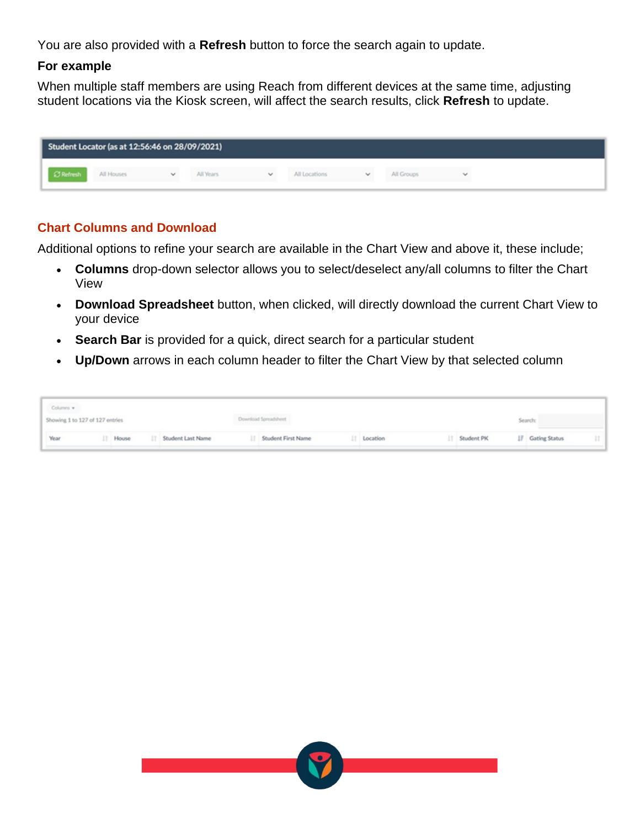You are also provided with a **Refresh** button to force the search again to update.

#### **For example**

When multiple staff members are using Reach from different devices at the same time, adjusting student locations via the Kiosk screen, will affect the search results, click **Refresh** to update.

| Student Locator (as at 12:56:46 on 28/09/2021) |            |              |           |              |               |              |            |  |  |  |
|------------------------------------------------|------------|--------------|-----------|--------------|---------------|--------------|------------|--|--|--|
|                                                | All Houses | $\checkmark$ | All Years | $\checkmark$ | All Locations | $\checkmark$ | All Groups |  |  |  |

#### **Chart Columns and Download**

Additional options to refine your search are available in the Chart View and above it, these include;

- **Columns** drop-down selector allows you to select/deselect any/all columns to filter the Chart View
- **Download Spreadsheet** button, when clicked, will directly download the current Chart View to your device
- **Search Bar** is provided for a quick, direct search for a particular student
- **Up/Down** arrows in each column header to filter the Chart View by that selected column

| Columns w                       |       |  |                   |                       |          |               |                         |  |
|---------------------------------|-------|--|-------------------|-----------------------|----------|---------------|-------------------------|--|
| Showing 1 to 127 of 127 entries |       |  |                   | Download Spreadsheet  |          |               | Search:                 |  |
| Year                            | House |  | Student Last Name | IT Student First Name | Location | IT Student PK | <b>IF</b> Gating Status |  |

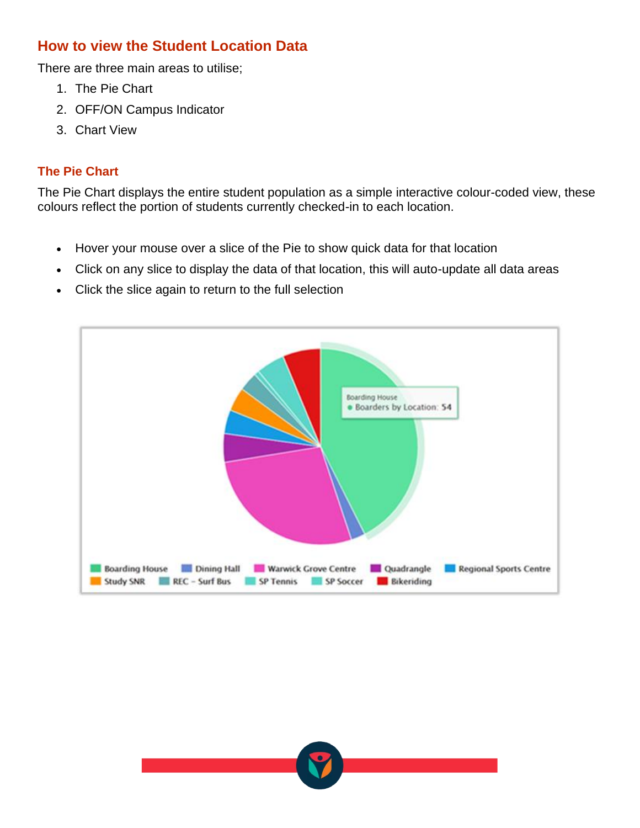# **How to view the Student Location Data**

There are three main areas to utilise;

- 1. The Pie Chart
- 2. OFF/ON Campus Indicator
- 3. Chart View

## **The Pie Chart**

The Pie Chart displays the entire student population as a simple interactive colour-coded view, these colours reflect the portion of students currently checked-in to each location.

- Hover your mouse over a slice of the Pie to show quick data for that location
- Click on any slice to display the data of that location, this will auto-update all data areas
- Click the slice again to return to the full selection